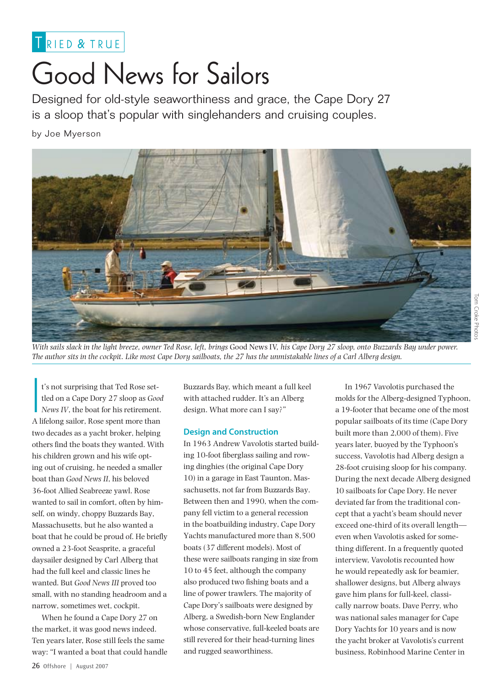

# Good News for Sailors

Designed for old-style seaworthiness and grace, the Cape Dory 27 is a sloop that's popular with singlehanders and cruising couples.

by Joe Myerson



*With sails slack in the light breeze, owner Ted Rose, left, brings* Good News IV*, his Cape Dory 27 sloop, onto Buzzards Bay under power. The author sits in the cockpit. Like most Cape Dory sailboats, the 27 has the unmistakable lines of a Carl Alberg design.*

|<br>|<br>|<br>|<br>|<br>| t's not surprising that Ted Rose settled on a Cape Dory 27 sloop as *Good News IV*, the boat for his retirement. A lifelong sailor, Rose spent more than two decades as a yacht broker, helping others find the boats they wanted. With his children grown and his wife opting out of cruising, he needed a smaller boat than *Good News II*, his beloved 36-foot Allied Seabreeze yawl. Rose wanted to sail in comfort, often by himself, on windy, choppy Buzzards Bay, Massachusetts, but he also wanted a boat that he could be proud of. He briefly owned a 23-foot Seasprite, a graceful daysailer designed by Carl Alberg that had the full keel and classic lines he wanted. But *Good News III* proved too small, with no standing headroom and a narrow, sometimes wet, cockpit.

When he found a Cape Dory 27 on the market, it was good news indeed. Ten years later, Rose still feels the same way: "I wanted a boat that could handle Buzzards Bay, which meant a full keel with attached rudder. It's an Alberg design. What more can I say?"

# **Design and Construction**

In 1963 Andrew Vavolotis started building 10-foot fiberglass sailing and rowing dinghies (the original Cape Dory 10) in a garage in East Taunton, Massachusetts, not far from Buzzards Bay. Between then and 1990, when the company fell victim to a general recession in the boatbuilding industry, Cape Dory Yachts manufactured more than 8,500 boats (37 different models). Most of these were sailboats ranging in size from 10 to 45 feet, although the company also produced two fishing boats and a line of power trawlers. The majority of Cape Dory's sailboats were designed by Alberg, a Swedish-born New Englander whose conservative, full-keeled boats are still revered for their head-turning lines and rugged seaworthiness.

In 1967 Vavolotis purchased the molds for the Alberg-designed Typhoon, a 19-footer that became one of the most popular sailboats of its time (Cape Dory built more than 2,000 of them). Five years later, buoyed by the Typhoon's success, Vavolotis had Alberg design a 28-foot cruising sloop for his company. During the next decade Alberg designed 10 sailboats for Cape Dory. He never deviated far from the traditional concept that a yacht's beam should never exceed one-third of its overall length even when Vavolotis asked for something different. In a frequently quoted interview, Vavolotis recounted how he would repeatedly ask for beamier, shallower designs, but Alberg always gave him plans for full-keel, classically narrow boats. Dave Perry, who was national sales manager for Cape Dory Yachts for 10 years and is now the yacht broker at Vavolotis's current business, Robinhood Marine Center in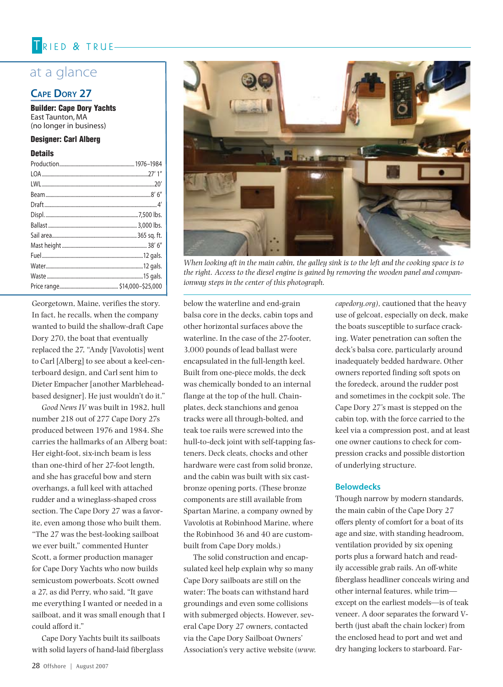# TRIED & TRUE-

# at a glance

# **Cape Dory 27**

Builder: Cape Dory Yachts East Taunton, MA (no longer in business)

# Designer: Carl Alberg

#### **Details**

Georgetown, Maine, verifies the story. In fact, he recalls, when the company wanted to build the shallow-draft Cape Dory 270, the boat that eventually replaced the 27, "Andy [Vavolotis] went to Carl [Alberg] to see about a keel-centerboard design, and Carl sent him to Dieter Empacher [another Marbleheadbased designer]. He just wouldn't do it."

*Good News IV* was built in 1982, hull number 218 out of 277 Cape Dory 27s produced between 1976 and 1984. She carries the hallmarks of an Alberg boat: Her eight-foot, six-inch beam is less than one-third of her 27-foot length, and she has graceful bow and stern overhangs, a full keel with attached rudder and a wineglass-shaped cross section. The Cape Dory 27 was a favorite, even among those who built them. "The 27 was the best-looking sailboat we ever built," commented Hunter Scott, a former production manager for Cape Dory Yachts who now builds semicustom powerboats. Scott owned a 27, as did Perry, who said, "It gave me everything I wanted or needed in a sailboat, and it was small enough that I could afford it."

Cape Dory Yachts built its sailboats with solid layers of hand-laid fiberglass



*When looking aft in the main cabin, the galley sink is to the left and the cooking space is to the right. Access to the diesel engine is gained by removing the wooden panel and companionway steps in the center of this photograph.*

below the waterline and end-grain balsa core in the decks, cabin tops and other horizontal surfaces above the waterline. In the case of the 27-footer, 3,000 pounds of lead ballast were encapsulated in the full-length keel. Built from one-piece molds, the deck was chemically bonded to an internal flange at the top of the hull. Chainplates, deck stanchions and genoa tracks were all through-bolted, and teak toe rails were screwed into the hull-to-deck joint with self-tapping fasteners. Deck cleats, chocks and other hardware were cast from solid bronze, and the cabin was built with six castbronze opening ports. (These bronze components are still available from Spartan Marine, a company owned by Vavolotis at Robinhood Marine, where the Robinhood 36 and 40 are custombuilt from Cape Dory molds.)

The solid construction and encapsulated keel help explain why so many Cape Dory sailboats are still on the water: The boats can withstand hard groundings and even some collisions with submerged objects. However, several Cape Dory 27 owners, contacted via the Cape Dory Sailboat Owners' Association's very active website (*www.* *capedory.org),* cautioned that the heavy use of gelcoat, especially on deck, make the boats susceptible to surface cracking. Water penetration can soften the deck's balsa core, particularly around inadequately bedded hardware. Other owners reported finding soft spots on the foredeck, around the rudder post and sometimes in the cockpit sole. The Cape Dory 27's mast is stepped on the cabin top, with the force carried to the keel via a compression post, and at least one owner cautions to check for compression cracks and possible distortion of underlying structure.

## **Belowdecks**

Though narrow by modern standards, the main cabin of the Cape Dory 27 offers plenty of comfort for a boat of its age and size, with standing headroom, ventilation provided by six opening ports plus a forward hatch and readily accessible grab rails. An off-white fiberglass headliner conceals wiring and other internal features, while trim except on the earliest models—is of teak veneer. A door separates the forward Vberth (just abaft the chain locker) from the enclosed head to port and wet and dry hanging lockers to starboard. Far-